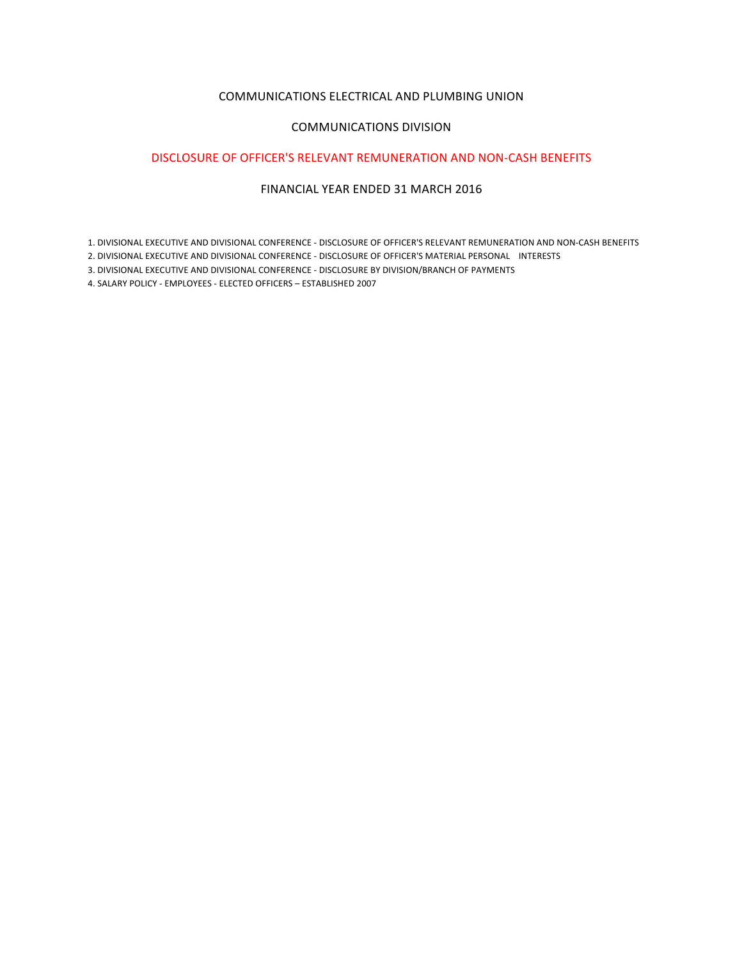## COMMUNICATIONS ELECTRICAL AND PLUMBING UNION

## COMMUNICATIONS DIVISION

# DISCLOSURE OF OFFICER'S RELEVANT REMUNERATION AND NON-CASH BENEFITS

# FINANCIAL YEAR ENDED 31 MARCH 2016

1. DIVISIONAL EXECUTIVE AND DIVISIONAL CONFERENCE - DISCLOSURE OF OFFICER'S RELEVANT REMUNERATION AND NON-CASH BENEFITS

2. DIVISIONAL EXECUTIVE AND DIVISIONAL CONFERENCE - DISCLOSURE OF OFFICER'S MATERIAL PERSONAL INTERESTS

3. DIVISIONAL EXECUTIVE AND DIVISIONAL CONFERENCE - DISCLOSURE BY DIVISION/BRANCH OF PAYMENTS

4. SALARY POLICY - EMPLOYEES - ELECTED OFFICERS - ESTABLISHED 2007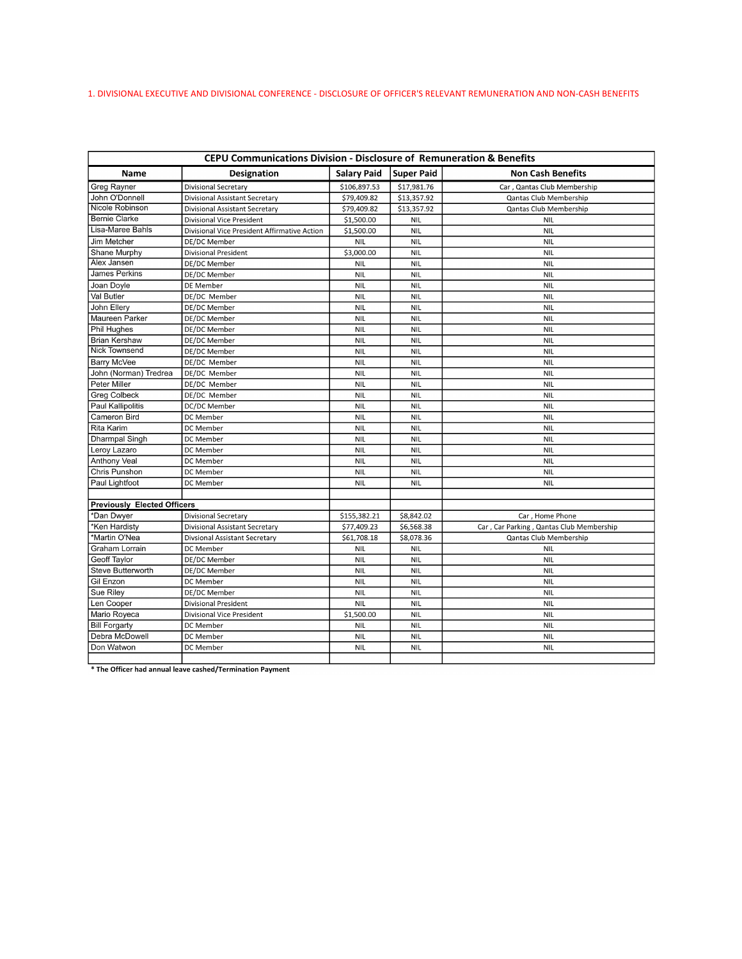# 1. DIVISIONAL EXECUTIVE AND DIVISIONAL CONFERENCE - DISCLOSURE OF OFFICER'S RELEVANT REMUNERATION AND NON-CASH BENEFITS

| CEPU Communications Division - Disclosure of Remuneration & Benefits |                                              |                    |                   |                                          |  |  |
|----------------------------------------------------------------------|----------------------------------------------|--------------------|-------------------|------------------------------------------|--|--|
| <b>Name</b>                                                          | <b>Designation</b>                           | <b>Salary Paid</b> | <b>Super Paid</b> | <b>Non Cash Benefits</b>                 |  |  |
| <b>Greg Rayner</b>                                                   | <b>Divisional Secretary</b>                  | \$106,897.53       | \$17,981.76       | Car, Qantas Club Membership              |  |  |
| John O'Donnell                                                       | <b>Divisional Assistant Secretary</b>        | \$79,409.82        | \$13,357.92       | Qantas Club Membership                   |  |  |
| Nicole Robinson                                                      | <b>Divisional Assistant Secretary</b>        | \$79,409.82        | \$13,357.92       | Qantas Club Membership                   |  |  |
| <b>Bernie Clarke</b>                                                 | Divisional Vice President                    | \$1,500.00         | <b>NIL</b>        | <b>NIL</b>                               |  |  |
| Lisa-Maree Bahls                                                     | Divisional Vice President Affirmative Action | \$1,500.00         | <b>NIL</b>        | <b>NIL</b>                               |  |  |
| Jim Metcher                                                          | DE/DC Member                                 | <b>NIL</b>         | <b>NIL</b>        | <b>NIL</b>                               |  |  |
| Shane Murphy                                                         | <b>Divisional President</b>                  | \$3,000.00         | <b>NIL</b>        | <b>NIL</b>                               |  |  |
| Alex Jansen                                                          | DE/DC Member                                 | <b>NIL</b>         | <b>NIL</b>        | <b>NIL</b>                               |  |  |
| <b>James Perkins</b>                                                 | DE/DC Member                                 | <b>NIL</b>         | <b>NIL</b>        | <b>NIL</b>                               |  |  |
| Joan Doyle                                                           | DE Member                                    | <b>NIL</b>         | <b>NIL</b>        | <b>NIL</b>                               |  |  |
| Val Butler                                                           | DE/DC Member                                 | <b>NIL</b>         | <b>NIL</b>        | <b>NIL</b>                               |  |  |
| John Ellery                                                          | DE/DC Member                                 | <b>NIL</b>         | <b>NIL</b>        | <b>NIL</b>                               |  |  |
| Maureen Parker                                                       | DE/DC Member                                 | <b>NIL</b>         | <b>NIL</b>        | <b>NIL</b>                               |  |  |
| Phil Hughes                                                          | DE/DC Member                                 | <b>NIL</b>         | <b>NIL</b>        | <b>NIL</b>                               |  |  |
| <b>Brian Kershaw</b>                                                 | DE/DC Member                                 | <b>NIL</b>         | <b>NIL</b>        | <b>NIL</b>                               |  |  |
| <b>Nick Townsend</b>                                                 | DE/DC Member                                 | <b>NIL</b>         | <b>NIL</b>        | <b>NIL</b>                               |  |  |
| Barry McVee                                                          | DE/DC Member                                 | <b>NIL</b>         | <b>NIL</b>        | <b>NIL</b>                               |  |  |
| John (Norman) Tredrea                                                | DE/DC Member                                 | <b>NIL</b>         | <b>NIL</b>        | <b>NIL</b>                               |  |  |
| Peter Miller                                                         | DE/DC Member                                 | <b>NIL</b>         | <b>NIL</b>        | <b>NIL</b>                               |  |  |
| <b>Greg Colbeck</b>                                                  | DE/DC Member                                 | <b>NIL</b>         | <b>NIL</b>        | <b>NIL</b>                               |  |  |
| Paul Kallipolitis                                                    | DC/DC Member                                 | <b>NIL</b>         | <b>NIL</b>        | <b>NIL</b>                               |  |  |
| Cameron Bird                                                         | DC Member                                    | <b>NIL</b>         | <b>NIL</b>        | <b>NIL</b>                               |  |  |
| <b>Rita Karim</b>                                                    | DC Member                                    | <b>NIL</b>         | <b>NIL</b>        | <b>NIL</b>                               |  |  |
| Dharmpal Singh                                                       | DC Member                                    | <b>NIL</b>         | <b>NIL</b>        | <b>NIL</b>                               |  |  |
| Leroy Lazaro                                                         | DC Member                                    | <b>NIL</b>         | <b>NIL</b>        | <b>NIL</b>                               |  |  |
| <b>Anthony Veal</b>                                                  | DC Member                                    | <b>NIL</b>         | <b>NIL</b>        | <b>NIL</b>                               |  |  |
| Chris Punshon                                                        | DC Member                                    | <b>NIL</b>         | <b>NIL</b>        | <b>NIL</b>                               |  |  |
| Paul Lightfoot                                                       | DC Member                                    | <b>NIL</b>         | <b>NIL</b>        | <b>NIL</b>                               |  |  |
|                                                                      |                                              |                    |                   |                                          |  |  |
| <b>Previously Elected Officers</b>                                   |                                              |                    |                   |                                          |  |  |
| *Dan Dwyer                                                           | <b>Divisional Secretary</b>                  | \$155,382.21       | \$8,842.02        | Car, Home Phone                          |  |  |
| *Ken Hardistv                                                        | <b>Divisional Assistant Secretary</b>        | \$77,409.23        | \$6,568.38        | Car, Car Parking, Qantas Club Membership |  |  |
| *Martin O'Nea                                                        | <b>Divsional Assistant Secretary</b>         | \$61,708.18        | \$8,078.36        | Qantas Club Membership                   |  |  |
| Graham Lorrain                                                       | DC Member                                    | <b>NIL</b>         | <b>NIL</b>        | <b>NIL</b>                               |  |  |
| Geoff Taylor                                                         | DE/DC Member                                 | <b>NIL</b>         | <b>NIL</b>        | <b>NIL</b>                               |  |  |
| Steve Butterworth                                                    | DE/DC Member                                 | <b>NIL</b>         | <b>NIL</b>        | <b>NIL</b>                               |  |  |
| Gil Enzon                                                            | DC Member                                    | <b>NIL</b>         | <b>NIL</b>        | <b>NIL</b>                               |  |  |
| Sue Rilev                                                            | DE/DC Member                                 | <b>NIL</b>         | <b>NIL</b>        | <b>NIL</b>                               |  |  |
| Len Cooper                                                           | <b>Divisional President</b>                  | <b>NIL</b>         | <b>NIL</b>        | <b>NIL</b>                               |  |  |
| Mario Royeca                                                         | <b>Divisional Vice President</b>             | \$1,500.00         | <b>NIL</b>        | <b>NIL</b>                               |  |  |
| <b>Bill Forgarty</b>                                                 | DC Member                                    | <b>NIL</b>         | <b>NIL</b>        | <b>NIL</b>                               |  |  |
| Debra McDowell                                                       | DC Member                                    | <b>NIL</b>         | <b>NIL</b>        | <b>NIL</b>                               |  |  |
| Don Watwon                                                           | DC Member                                    | <b>NIL</b>         | <b>NIL</b>        | <b>NIL</b>                               |  |  |
|                                                                      |                                              |                    |                   |                                          |  |  |

The Officer had annual leave cashed/Termination Payment